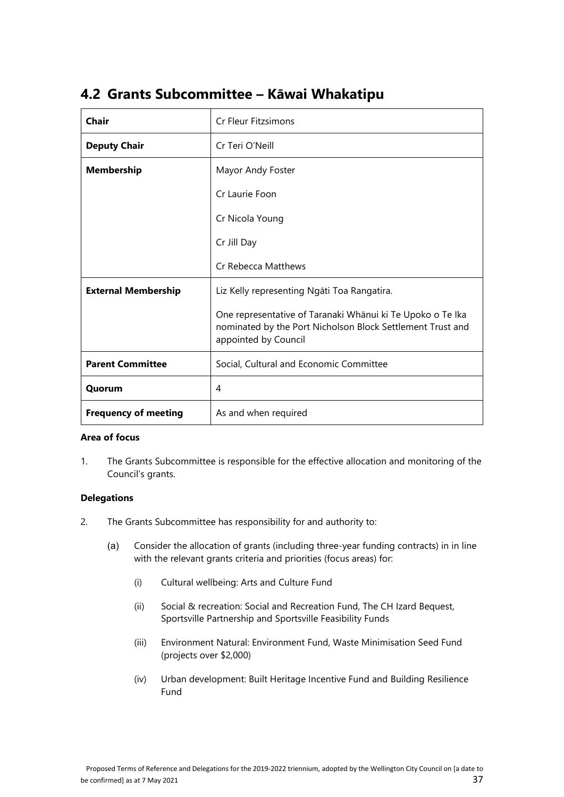| <b>Chair</b>                | <b>Cr Fleur Fitzsimons</b>                                                                                                                       |
|-----------------------------|--------------------------------------------------------------------------------------------------------------------------------------------------|
| <b>Deputy Chair</b>         | Cr Teri O'Neill                                                                                                                                  |
| <b>Membership</b>           | Mayor Andy Foster                                                                                                                                |
|                             | Cr Laurie Foon                                                                                                                                   |
|                             | Cr Nicola Young                                                                                                                                  |
|                             | Cr Jill Day                                                                                                                                      |
|                             | Cr Rebecca Matthews                                                                                                                              |
| <b>External Membership</b>  | Liz Kelly representing Ngāti Toa Rangatira.                                                                                                      |
|                             | One representative of Taranaki Whānui ki Te Upoko o Te Ika<br>nominated by the Port Nicholson Block Settlement Trust and<br>appointed by Council |
| <b>Parent Committee</b>     | Social, Cultural and Economic Committee                                                                                                          |
| Quorum                      | 4                                                                                                                                                |
| <b>Frequency of meeting</b> | As and when required                                                                                                                             |

## **4.2 Grants Subcommittee – Kāwai Whakatipu**

## **Area of focus**

 1. The Grants Subcommittee is responsible for the effective allocation and monitoring of the Council's grants.

## **Delegations**

- 2. The Grants Subcommittee has responsibility for and authority to:
	- (a) Consider the allocation of grants (including three-year funding contracts) in in line with the relevant grants criteria and priorities (focus areas) for:
		- (i) Cultural wellbeing: Arts and Culture Fund
		- (ii) Social & recreation: Social and Recreation Fund, The CH Izard Bequest, Sportsville Partnership and Sportsville Feasibility Funds
		- (iii) Environment Natural: Environment Fund, Waste Minimisation Seed Fund (projects over \$2,000)
		- (iv) Urban development: Built Heritage Incentive Fund and Building Resilience Fund